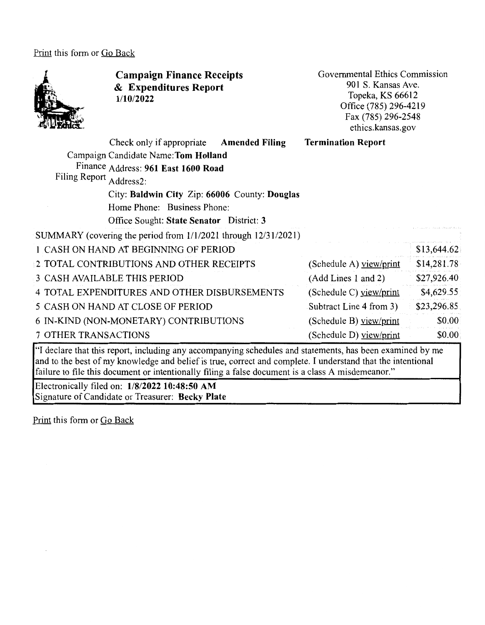Print this form or Go Back



**Campaign Finance Receipts**  & **Expenditures Report 1/10/2022** 

Governmental Ethics Commission 901 S. Kansas Ave. Topeka, KS 66612 Office (785) 296-4219 Fax (785) 296-2548 ethics .kansas. gov

|                         | Check only if appropriate                                      | <b>Amended Filing</b> | <b>Termination Report</b> |             |
|-------------------------|----------------------------------------------------------------|-----------------------|---------------------------|-------------|
|                         | Campaign Candidate Name: Tom Holland                           |                       |                           |             |
|                         | Finance Address: 961 East 1600 Road                            |                       |                           |             |
| Filing Report Address2: |                                                                |                       |                           |             |
|                         | City: Baldwin City Zip: 66006 County: Douglas                  |                       |                           |             |
|                         | Home Phone: Business Phone:                                    |                       |                           |             |
|                         | Office Sought: State Senator District: 3                       |                       |                           |             |
|                         | SUMMARY (covering the period from 1/1/2021 through 12/31/2021) |                       |                           |             |
|                         | 1 CASH ON HAND AT BEGINNING OF PERIOD                          |                       |                           | \$13,644.62 |
|                         | 2 TOTAL CONTRIBUTIONS AND OTHER RECEIPTS                       |                       | (Schedule A) view/print   | \$14,281.78 |
|                         | <b>3 CASH AVAILABLE THIS PERIOD</b>                            |                       | (Add Lines 1 and 2)       | \$27,926.40 |
|                         | 4 TOTAL EXPENDITURES AND OTHER DISBURSEMENTS                   |                       | (Schedule C) yiew/print   | \$4,629.55  |
|                         | 5 CASH ON HAND AT CLOSE OF PERIOD                              |                       | Subtract Line 4 from 3)   | \$23,296.85 |
|                         | 6 IN-KIND (NON-MONETARY) CONTRIBUTIONS                         |                       | (Schedule B) $view/print$ | \$0.00      |
| 7 OTHER TRANSACTIONS    |                                                                |                       | (Schedule D) view/print   | \$0.00\$    |

"I declare that this report, including any accompanying schedules and statements, has been examined by me and to the best of my knowledge and belief is true, correct and complete. I understand that the intentional failure to file this document or intentionally filing a false document is a class A misdemeanor."

Electronically filed on: **1/8/2022 10:48:50 AM**  Signature of Candidate or Treasurer: **Becky Plate** 

Print this form or Go Back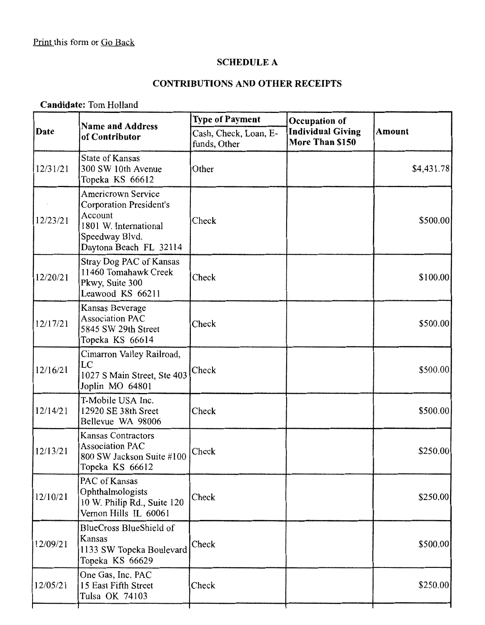#### **SCHEDULE A**

# **CONTRIBUTIONS AND OTHER RECEIPTS**

**Candidate:** Tom Holland

| <b>Name and Address</b><br>of Contributor                                                                                                   | <b>Type of Payment</b><br>Occupation of |                                             |               |
|---------------------------------------------------------------------------------------------------------------------------------------------|-----------------------------------------|---------------------------------------------|---------------|
|                                                                                                                                             | Cash, Check, Loan, E-<br>funds, Other   | <b>Individual Giving</b><br>More Than \$150 | <b>Amount</b> |
| <b>State of Kansas</b><br>300 SW 10th Avenue<br>Topeka KS 66612                                                                             | Other                                   |                                             | \$4,431.78]   |
| <b>Americrown Service</b><br><b>Corporation President's</b><br>Account<br>1801 W. International<br>Speedway Blvd.<br>Daytona Beach FL 32114 | Check                                   |                                             | \$500.00      |
| Stray Dog PAC of Kansas<br>11460 Tomahawk Creek<br>Pkwy, Suite 300<br>Leawood KS 66211                                                      | Check                                   |                                             | \$100.00      |
| Kansas Beverage<br><b>Association PAC</b><br>5845 SW 29th Street<br>Topeka KS 66614                                                         | Check                                   |                                             | \$500.00      |
| Cimarron Valley Railroad,<br>LC<br>1027 S Main Street, Ste 403<br>Joplin MO 64801                                                           | Check                                   |                                             | \$500.00      |
| T-Mobile USA Inc.<br>12920 SE 38th Sreet<br>Bellevue WA 98006                                                                               | Check                                   |                                             | \$500.00      |
| <b>Kansas Contractors</b><br><b>Association PAC</b><br>800 SW Jackson Suite #100<br>Topeka KS 66612                                         | Check                                   |                                             | \$250.00      |
| PAC of Kansas<br>Ophthalmologists<br>10 W. Philip Rd., Suite 120<br>Vernon Hills IL 60061                                                   | Check                                   |                                             | \$250.00      |
| BlueCross BlueShield of<br>Kansas<br>1133 SW Topeka Boulevard<br>Topeka KS 66629                                                            | Check                                   |                                             | \$500.00      |
| One Gas, Inc. PAC<br>15 East Fifth Street<br>Tulsa OK 74103                                                                                 | Check                                   |                                             | \$250.00]     |
|                                                                                                                                             |                                         |                                             |               |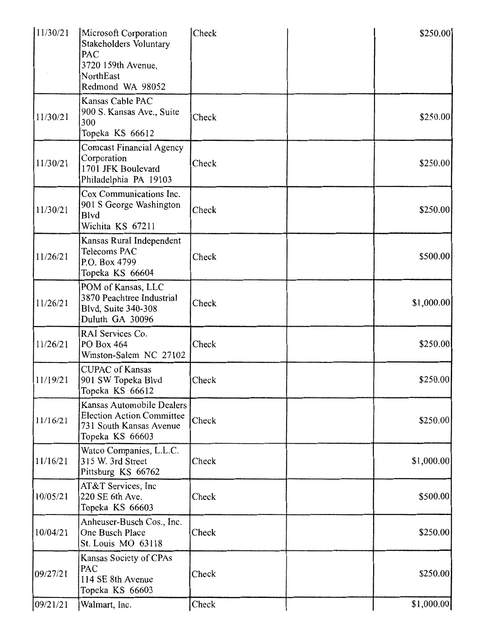| 11/30/21 | Microsoft Corporation<br>Stakeholders Voluntary<br>PAC<br>3720 159th Avenue,<br>NorthEast<br>Redmond WA 98052 | Check | \$250.00    |
|----------|---------------------------------------------------------------------------------------------------------------|-------|-------------|
| 11/30/21 | Kansas Cable PAC<br>900 S. Kansas Ave., Suite<br>300<br>Topeka KS 66612                                       | Check | \$250.00]   |
| 11/30/21 | <b>Comcast Financial Agency</b><br>Corporation<br>1701 JFK Boulevard<br>Philadelphia PA 19103                 | Check | \$250.00    |
| 11/30/21 | Cox Communications Inc.<br>901 S George Washington<br><b>B</b> lvd<br>Wichita KS 67211                        | Check | \$250.00    |
| 11/26/21 | Kansas Rural Independent<br>Telecoms PAC<br>P.O. Box 4799<br>Topeka KS 66604                                  | Check | \$500.00    |
| 11/26/21 | POM of Kansas, LLC<br>3870 Peachtree Industrial<br>Blvd, Suite 340-308<br>Duluth GA 30096                     | Check | \$1,000.00] |
| 11/26/21 | RAI Services Co.<br>PO Box 464<br>Winston-Salem NC 27102                                                      | Check | \$250.00    |
| 11/19/21 | <b>CUPAC</b> of Kansas<br>901 SW Topeka Blvd<br>Topeka KS 66612                                               | Check | \$250.00]   |
| 11/16/21 | Kansas Automobile Dealers<br><b>Election Action Committee</b><br>731 South Kansas Avenue<br>Topeka KS 66603   | Check | \$250.00    |
| 11/16/21 | Watco Companies, L.L.C.<br>315 W. 3rd Street<br>Pittsburg KS 66762                                            | Check | \$1,000.00] |
| 10/05/21 | AT&T Services, Inc<br>220 SE 6th Ave.<br>Topeka KS 66603                                                      | Check | \$500.00    |
| 10/04/21 | Anheuser-Busch Cos., Inc.<br>One Busch Place<br>St. Louis MO 63118                                            | Check | \$250.00    |
| 09/27/21 | Kansas Society of CPAs<br>PAC<br>114 SE 8th Avenue<br>Topeka KS 66603                                         | Check | \$250.00    |
| 09/21/21 | Walmart, Inc.                                                                                                 | Check | \$1,000.00] |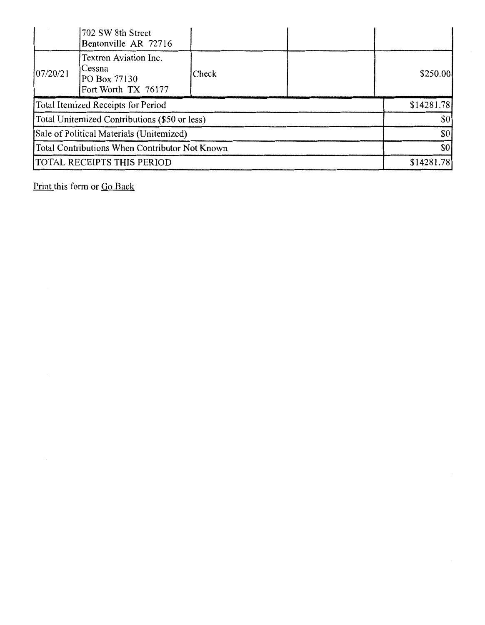|                                                | 702 SW 8th Street<br>Bentonville AR 72716                              |       |            |          |
|------------------------------------------------|------------------------------------------------------------------------|-------|------------|----------|
| 07/20/21                                       | Textron Aviation Inc.<br>Cessna<br>PO Box 77130<br>Fort Worth TX 76177 | Check |            | \$250.00 |
| Total Itemized Receipts for Period             |                                                                        |       | \$14281.78 |          |
| Total Unitemized Contributions (\$50 or less)  |                                                                        |       | \$0        |          |
| Sale of Political Materials (Unitemized)       |                                                                        |       | \$0        |          |
| Total Contributions When Contributor Not Known |                                                                        |       | \$0        |          |
| TOTAL RECEIPTS THIS PERIOD                     |                                                                        |       | \$14281.78 |          |

Print this form or Go Back